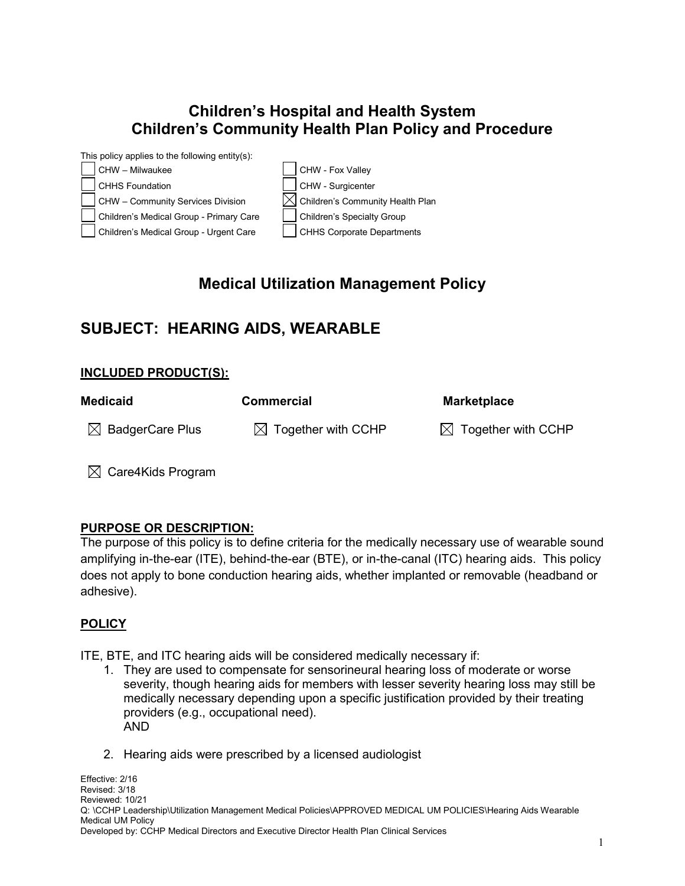## **Children's Hospital and Health System Children's Community Health Plan Policy and Procedure**



# **Medical Utilization Management Policy**

# **SUBJECT: HEARING AIDS, WEARABLE**

#### **INCLUDED PRODUCT(S):**

| Medicaid                    | <b>Commercial</b>              | <b>Marketplace</b>             |
|-----------------------------|--------------------------------|--------------------------------|
| $\boxtimes$ BadgerCare Plus | $\boxtimes$ Together with CCHP | $\boxtimes$ Together with CCHP |

 $\boxtimes$  Care4Kids Program

### **PURPOSE OR DESCRIPTION:**

The purpose of this policy is to define criteria for the medically necessary use of wearable sound amplifying in-the-ear (ITE), behind-the-ear (BTE), or in-the-canal (ITC) hearing aids. This policy does not apply to bone conduction hearing aids, whether implanted or removable (headband or adhesive).

### **POLICY**

ITE, BTE, and ITC hearing aids will be considered medically necessary if:

- 1. They are used to compensate for sensorineural hearing loss of moderate or worse severity, though hearing aids for members with lesser severity hearing loss may still be medically necessary depending upon a specific justification provided by their treating providers (e.g., occupational need). AND
- 2. Hearing aids were prescribed by a licensed audiologist